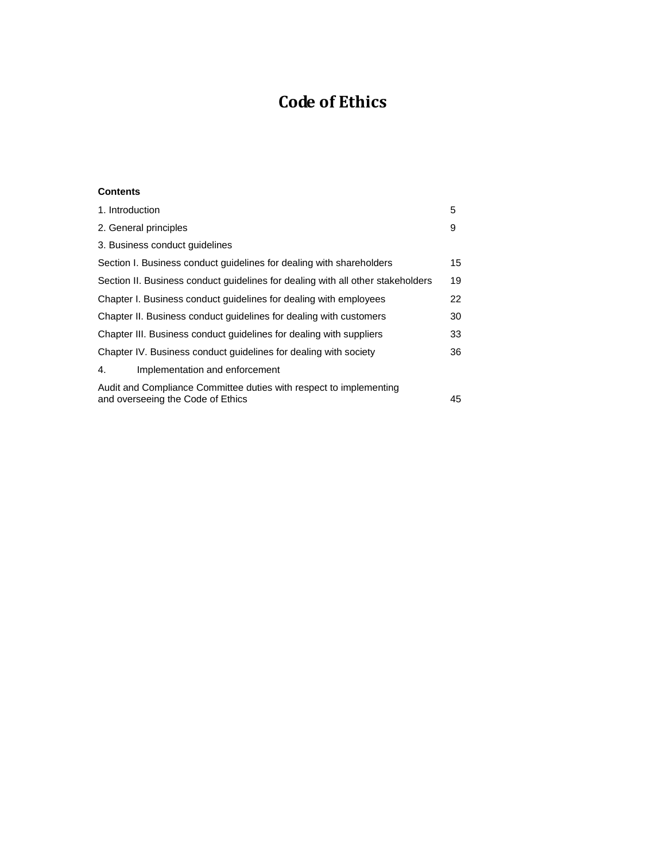# **Code of Ethics**

# **Contents**

| 1. Introduction                                                                                               | 5  |
|---------------------------------------------------------------------------------------------------------------|----|
| 2. General principles                                                                                         | 9  |
| 3. Business conduct quidelines                                                                                |    |
| Section I. Business conduct guidelines for dealing with shareholders                                          | 15 |
| Section II. Business conduct guidelines for dealing with all other stakeholders                               | 19 |
| Chapter I. Business conduct quidelines for dealing with employees                                             | 22 |
| Chapter II. Business conduct quidelines for dealing with customers                                            | 30 |
| Chapter III. Business conduct guidelines for dealing with suppliers                                           | 33 |
| Chapter IV. Business conduct quidelines for dealing with society                                              | 36 |
| Implementation and enforcement<br>4.                                                                          |    |
| Audit and Compliance Committee duties with respect to implementing<br>and overseeing the Code of Ethics<br>45 |    |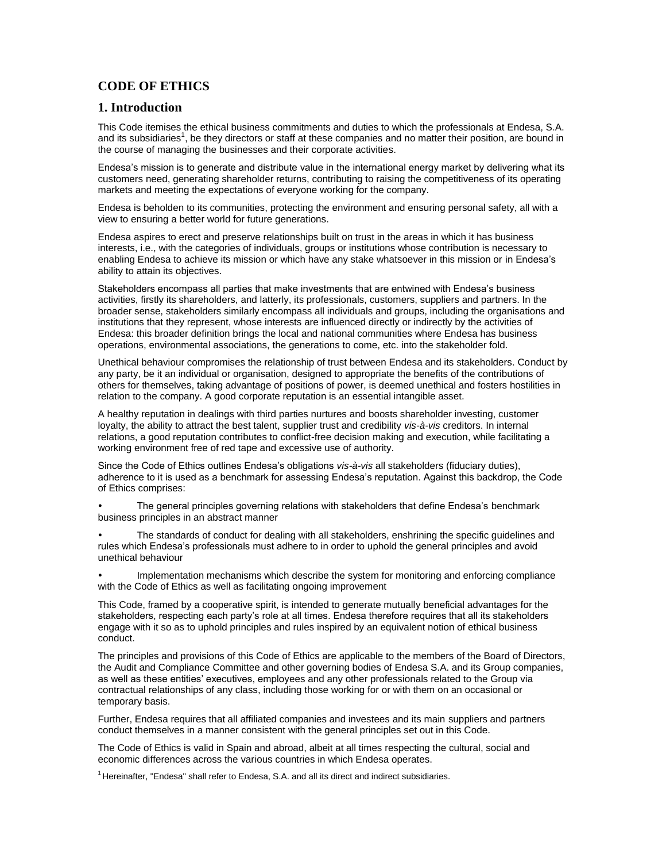# **CODE OF ETHICS**

# **1. Introduction**

This Code itemises the ethical business commitments and duties to which the professionals at Endesa, S.A. and its subsidiaries<sup>1</sup>, be they directors or staff at these companies and no matter their position, are bound in the course of managing the businesses and their corporate activities.

Endesa's mission is to generate and distribute value in the international energy market by delivering what its customers need, generating shareholder returns, contributing to raising the competitiveness of its operating markets and meeting the expectations of everyone working for the company.

Endesa is beholden to its communities, protecting the environment and ensuring personal safety, all with a view to ensuring a better world for future generations.

Endesa aspires to erect and preserve relationships built on trust in the areas in which it has business interests, i.e., with the categories of individuals, groups or institutions whose contribution is necessary to enabling Endesa to achieve its mission or which have any stake whatsoever in this mission or in Endesa's ability to attain its objectives.

Stakeholders encompass all parties that make investments that are entwined with Endesa's business activities, firstly its shareholders, and latterly, its professionals, customers, suppliers and partners. In the broader sense, stakeholders similarly encompass all individuals and groups, including the organisations and institutions that they represent, whose interests are influenced directly or indirectly by the activities of Endesa: this broader definition brings the local and national communities where Endesa has business operations, environmental associations, the generations to come, etc. into the stakeholder fold.

Unethical behaviour compromises the relationship of trust between Endesa and its stakeholders. Conduct by any party, be it an individual or organisation, designed to appropriate the benefits of the contributions of others for themselves, taking advantage of positions of power, is deemed unethical and fosters hostilities in relation to the company. A good corporate reputation is an essential intangible asset.

A healthy reputation in dealings with third parties nurtures and boosts shareholder investing, customer loyalty, the ability to attract the best talent, supplier trust and credibility *vis-à-vis* creditors. In internal relations, a good reputation contributes to conflict-free decision making and execution, while facilitating a working environment free of red tape and excessive use of authority.

Since the Code of Ethics outlines Endesa's obligations *vis-à-vis* all stakeholders (fiduciary duties), adherence to it is used as a benchmark for assessing Endesa's reputation. Against this backdrop, the Code of Ethics comprises:

 The general principles governing relations with stakeholders that define Endesa's benchmark business principles in an abstract manner

 The standards of conduct for dealing with all stakeholders, enshrining the specific guidelines and rules which Endesa's professionals must adhere to in order to uphold the general principles and avoid unethical behaviour

 Implementation mechanisms which describe the system for monitoring and enforcing compliance with the Code of Ethics as well as facilitating ongoing improvement

This Code, framed by a cooperative spirit, is intended to generate mutually beneficial advantages for the stakeholders, respecting each party's role at all times. Endesa therefore requires that all its stakeholders engage with it so as to uphold principles and rules inspired by an equivalent notion of ethical business conduct.

The principles and provisions of this Code of Ethics are applicable to the members of the Board of Directors, the Audit and Compliance Committee and other governing bodies of Endesa S.A. and its Group companies, as well as these entities' executives, employees and any other professionals related to the Group via contractual relationships of any class, including those working for or with them on an occasional or temporary basis.

Further, Endesa requires that all affiliated companies and investees and its main suppliers and partners conduct themselves in a manner consistent with the general principles set out in this Code.

The Code of Ethics is valid in Spain and abroad, albeit at all times respecting the cultural, social and economic differences across the various countries in which Endesa operates.

 $<sup>1</sup>$  Hereinafter, "Endesa" shall refer to Endesa, S.A. and all its direct and indirect subsidiaries.</sup>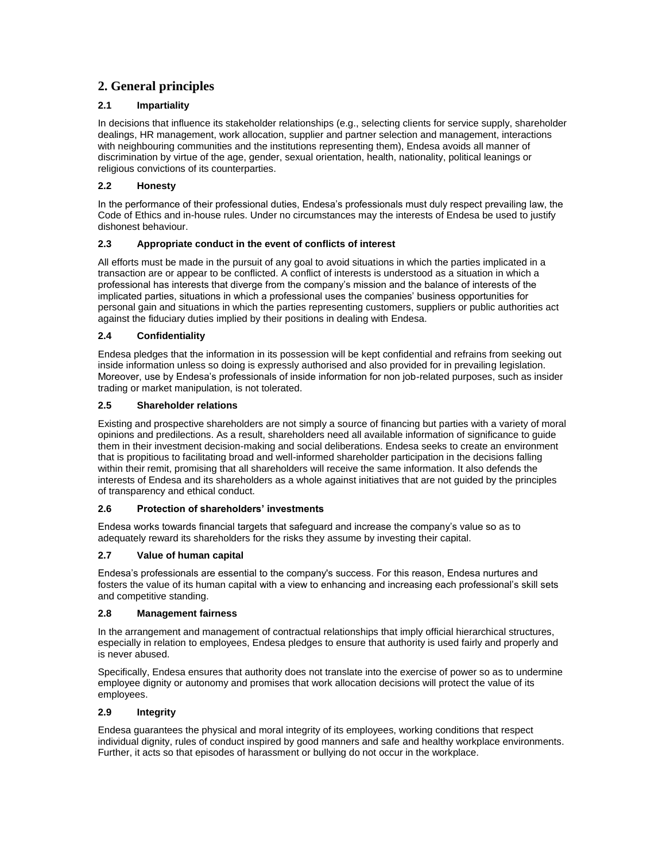# **2. General principles**

# **2.1 Impartiality**

In decisions that influence its stakeholder relationships (e.g., selecting clients for service supply, shareholder dealings, HR management, work allocation, supplier and partner selection and management, interactions with neighbouring communities and the institutions representing them), Endesa avoids all manner of discrimination by virtue of the age, gender, sexual orientation, health, nationality, political leanings or religious convictions of its counterparties.

# **2.2 Honesty**

In the performance of their professional duties, Endesa's professionals must duly respect prevailing law, the Code of Ethics and in-house rules. Under no circumstances may the interests of Endesa be used to justify dishonest behaviour.

# **2.3 Appropriate conduct in the event of conflicts of interest**

All efforts must be made in the pursuit of any goal to avoid situations in which the parties implicated in a transaction are or appear to be conflicted. A conflict of interests is understood as a situation in which a professional has interests that diverge from the company's mission and the balance of interests of the implicated parties, situations in which a professional uses the companies' business opportunities for personal gain and situations in which the parties representing customers, suppliers or public authorities act against the fiduciary duties implied by their positions in dealing with Endesa.

# **2.4 Confidentiality**

Endesa pledges that the information in its possession will be kept confidential and refrains from seeking out inside information unless so doing is expressly authorised and also provided for in prevailing legislation. Moreover, use by Endesa's professionals of inside information for non job-related purposes, such as insider trading or market manipulation, is not tolerated.

# **2.5 Shareholder relations**

Existing and prospective shareholders are not simply a source of financing but parties with a variety of moral opinions and predilections. As a result, shareholders need all available information of significance to guide them in their investment decision-making and social deliberations. Endesa seeks to create an environment that is propitious to facilitating broad and well-informed shareholder participation in the decisions falling within their remit, promising that all shareholders will receive the same information. It also defends the interests of Endesa and its shareholders as a whole against initiatives that are not guided by the principles of transparency and ethical conduct.

#### **2.6 Protection of shareholders' investments**

Endesa works towards financial targets that safeguard and increase the company's value so as to adequately reward its shareholders for the risks they assume by investing their capital.

# **2.7 Value of human capital**

Endesa's professionals are essential to the company's success. For this reason, Endesa nurtures and fosters the value of its human capital with a view to enhancing and increasing each professional's skill sets and competitive standing.

#### **2.8 Management fairness**

In the arrangement and management of contractual relationships that imply official hierarchical structures, especially in relation to employees, Endesa pledges to ensure that authority is used fairly and properly and is never abused.

Specifically, Endesa ensures that authority does not translate into the exercise of power so as to undermine employee dignity or autonomy and promises that work allocation decisions will protect the value of its employees.

# **2.9 Integrity**

Endesa guarantees the physical and moral integrity of its employees, working conditions that respect individual dignity, rules of conduct inspired by good manners and safe and healthy workplace environments. Further, it acts so that episodes of harassment or bullying do not occur in the workplace.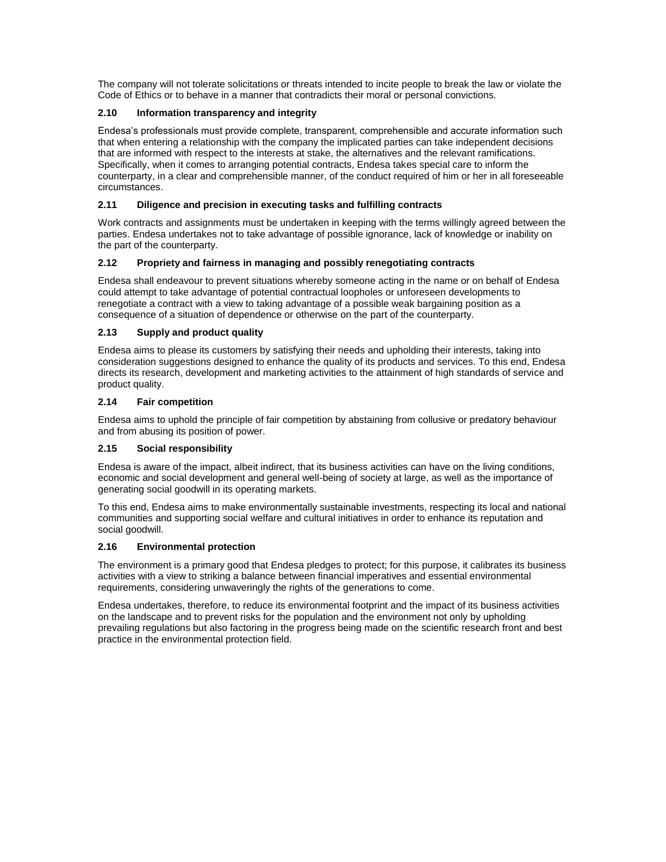The company will not tolerate solicitations or threats intended to incite people to break the law or violate the Code of Ethics or to behave in a manner that contradicts their moral or personal convictions.

# **2.10 Information transparency and integrity**

Endesa's professionals must provide complete, transparent, comprehensible and accurate information such that when entering a relationship with the company the implicated parties can take independent decisions that are informed with respect to the interests at stake, the alternatives and the relevant ramifications. Specifically, when it comes to arranging potential contracts, Endesa takes special care to inform the counterparty, in a clear and comprehensible manner, of the conduct required of him or her in all foreseeable circumstances.

# **2.11 Diligence and precision in executing tasks and fulfilling contracts**

Work contracts and assignments must be undertaken in keeping with the terms willingly agreed between the parties. Endesa undertakes not to take advantage of possible ignorance, lack of knowledge or inability on the part of the counterparty.

# **2.12 Propriety and fairness in managing and possibly renegotiating contracts**

Endesa shall endeavour to prevent situations whereby someone acting in the name or on behalf of Endesa could attempt to take advantage of potential contractual loopholes or unforeseen developments to renegotiate a contract with a view to taking advantage of a possible weak bargaining position as a consequence of a situation of dependence or otherwise on the part of the counterparty.

# **2.13 Supply and product quality**

Endesa aims to please its customers by satisfying their needs and upholding their interests, taking into consideration suggestions designed to enhance the quality of its products and services. To this end, Endesa directs its research, development and marketing activities to the attainment of high standards of service and product quality.

# **2.14 Fair competition**

Endesa aims to uphold the principle of fair competition by abstaining from collusive or predatory behaviour and from abusing its position of power.

# **2.15 Social responsibility**

Endesa is aware of the impact, albeit indirect, that its business activities can have on the living conditions, economic and social development and general well-being of society at large, as well as the importance of generating social goodwill in its operating markets.

To this end, Endesa aims to make environmentally sustainable investments, respecting its local and national communities and supporting social welfare and cultural initiatives in order to enhance its reputation and social goodwill.

#### **2.16 Environmental protection**

The environment is a primary good that Endesa pledges to protect; for this purpose, it calibrates its business activities with a view to striking a balance between financial imperatives and essential environmental requirements, considering unwaveringly the rights of the generations to come.

Endesa undertakes, therefore, to reduce its environmental footprint and the impact of its business activities on the landscape and to prevent risks for the population and the environment not only by upholding prevailing regulations but also factoring in the progress being made on the scientific research front and best practice in the environmental protection field.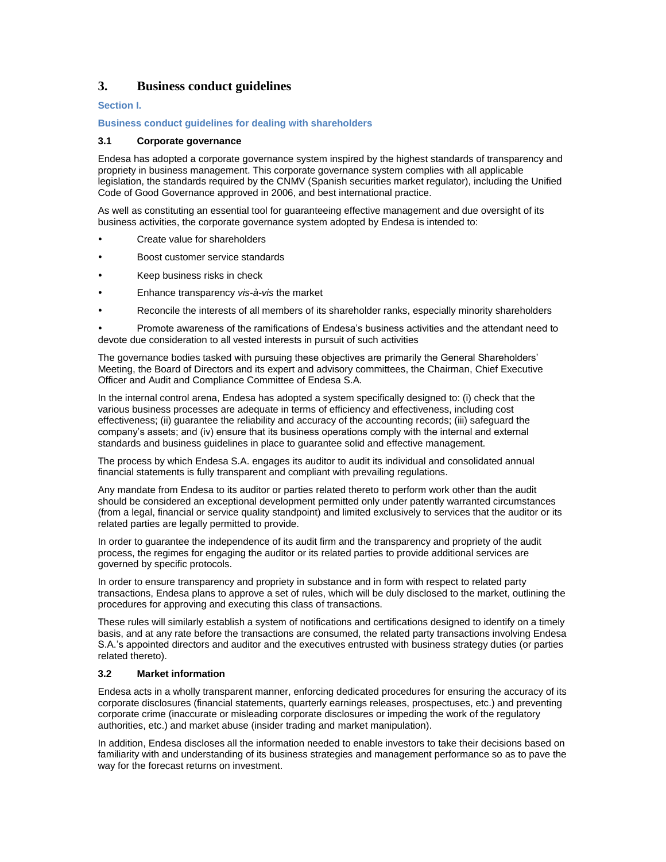# **3. Business conduct guidelines**

# **Section I.**

#### **Business conduct guidelines for dealing with shareholders**

# **3.1 Corporate governance**

Endesa has adopted a corporate governance system inspired by the highest standards of transparency and propriety in business management. This corporate governance system complies with all applicable legislation, the standards required by the CNMV (Spanish securities market regulator), including the Unified Code of Good Governance approved in 2006, and best international practice.

As well as constituting an essential tool for guaranteeing effective management and due oversight of its business activities, the corporate governance system adopted by Endesa is intended to:

- Create value for shareholders
- Boost customer service standards
- Keep business risks in check
- Enhance transparency *vis-à-vis* the market
- Reconcile the interests of all members of its shareholder ranks, especially minority shareholders

| Promote awareness of the ramifications of Endesa's business activities and the attendant need to |
|--------------------------------------------------------------------------------------------------|
| devote due consideration to all vested interests in pursuit of such activities                   |

The governance bodies tasked with pursuing these objectives are primarily the General Shareholders' Meeting, the Board of Directors and its expert and advisory committees, the Chairman, Chief Executive Officer and Audit and Compliance Committee of Endesa S.A.

In the internal control arena, Endesa has adopted a system specifically designed to: (i) check that the various business processes are adequate in terms of efficiency and effectiveness, including cost effectiveness; (ii) guarantee the reliability and accuracy of the accounting records; (iii) safeguard the company's assets; and (iv) ensure that its business operations comply with the internal and external standards and business guidelines in place to guarantee solid and effective management.

The process by which Endesa S.A. engages its auditor to audit its individual and consolidated annual financial statements is fully transparent and compliant with prevailing regulations.

Any mandate from Endesa to its auditor or parties related thereto to perform work other than the audit should be considered an exceptional development permitted only under patently warranted circumstances (from a legal, financial or service quality standpoint) and limited exclusively to services that the auditor or its related parties are legally permitted to provide.

In order to guarantee the independence of its audit firm and the transparency and propriety of the audit process, the regimes for engaging the auditor or its related parties to provide additional services are governed by specific protocols.

In order to ensure transparency and propriety in substance and in form with respect to related party transactions, Endesa plans to approve a set of rules, which will be duly disclosed to the market, outlining the procedures for approving and executing this class of transactions.

These rules will similarly establish a system of notifications and certifications designed to identify on a timely basis, and at any rate before the transactions are consumed, the related party transactions involving Endesa S.A.'s appointed directors and auditor and the executives entrusted with business strategy duties (or parties related thereto).

#### **3.2 Market information**

Endesa acts in a wholly transparent manner, enforcing dedicated procedures for ensuring the accuracy of its corporate disclosures (financial statements, quarterly earnings releases, prospectuses, etc.) and preventing corporate crime (inaccurate or misleading corporate disclosures or impeding the work of the regulatory authorities, etc.) and market abuse (insider trading and market manipulation).

In addition, Endesa discloses all the information needed to enable investors to take their decisions based on familiarity with and understanding of its business strategies and management performance so as to pave the way for the forecast returns on investment.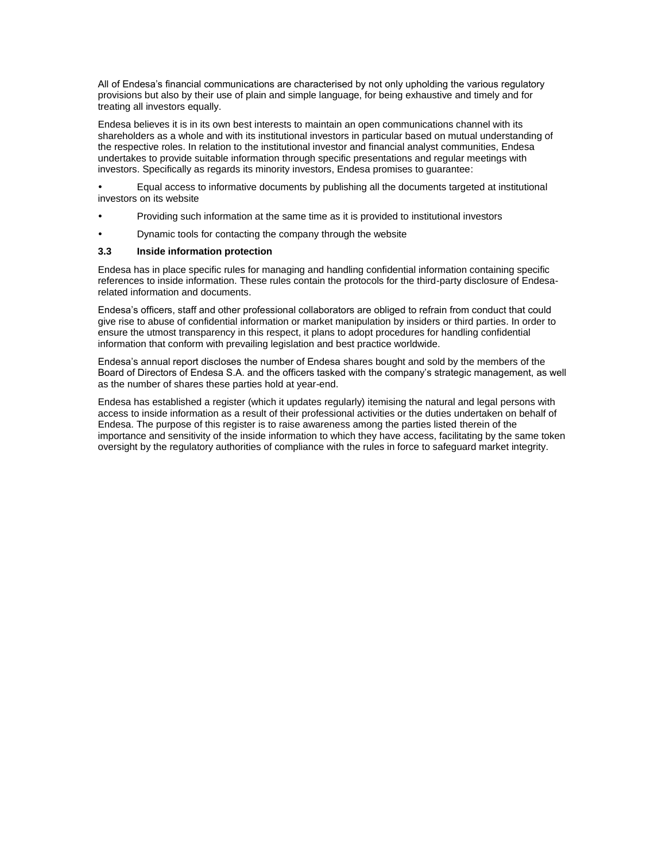All of Endesa's financial communications are characterised by not only upholding the various regulatory provisions but also by their use of plain and simple language, for being exhaustive and timely and for treating all investors equally.

Endesa believes it is in its own best interests to maintain an open communications channel with its shareholders as a whole and with its institutional investors in particular based on mutual understanding of the respective roles. In relation to the institutional investor and financial analyst communities, Endesa undertakes to provide suitable information through specific presentations and regular meetings with investors. Specifically as regards its minority investors, Endesa promises to guarantee:

 Equal access to informative documents by publishing all the documents targeted at institutional investors on its website

- Providing such information at the same time as it is provided to institutional investors
- Dynamic tools for contacting the company through the website

#### **3.3 Inside information protection**

Endesa has in place specific rules for managing and handling confidential information containing specific references to inside information. These rules contain the protocols for the third-party disclosure of Endesarelated information and documents.

Endesa's officers, staff and other professional collaborators are obliged to refrain from conduct that could give rise to abuse of confidential information or market manipulation by insiders or third parties. In order to ensure the utmost transparency in this respect, it plans to adopt procedures for handling confidential information that conform with prevailing legislation and best practice worldwide.

Endesa's annual report discloses the number of Endesa shares bought and sold by the members of the Board of Directors of Endesa S.A. and the officers tasked with the company's strategic management, as well as the number of shares these parties hold at year-end.

Endesa has established a register (which it updates regularly) itemising the natural and legal persons with access to inside information as a result of their professional activities or the duties undertaken on behalf of Endesa. The purpose of this register is to raise awareness among the parties listed therein of the importance and sensitivity of the inside information to which they have access, facilitating by the same token oversight by the regulatory authorities of compliance with the rules in force to safeguard market integrity.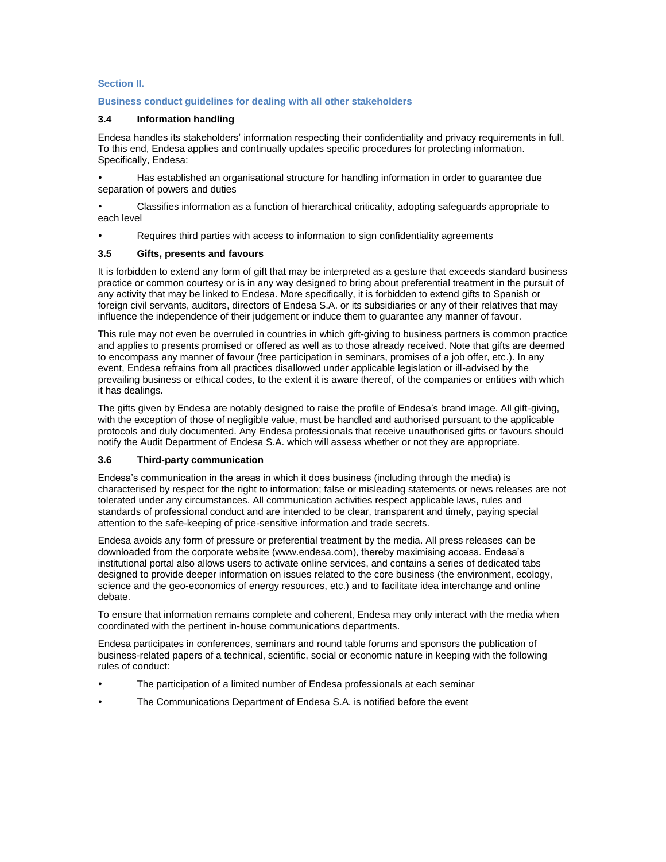# **Section II.**

# **Business conduct guidelines for dealing with all other stakeholders**

# **3.4 Information handling**

Endesa handles its stakeholders' information respecting their confidentiality and privacy requirements in full. To this end, Endesa applies and continually updates specific procedures for protecting information. Specifically, Endesa:

 Has established an organisational structure for handling information in order to guarantee due separation of powers and duties

 Classifies information as a function of hierarchical criticality, adopting safeguards appropriate to each level

Requires third parties with access to information to sign confidentiality agreements

# **3.5 Gifts, presents and favours**

It is forbidden to extend any form of gift that may be interpreted as a gesture that exceeds standard business practice or common courtesy or is in any way designed to bring about preferential treatment in the pursuit of any activity that may be linked to Endesa. More specifically, it is forbidden to extend gifts to Spanish or foreign civil servants, auditors, directors of Endesa S.A. or its subsidiaries or any of their relatives that may influence the independence of their judgement or induce them to guarantee any manner of favour.

This rule may not even be overruled in countries in which gift-giving to business partners is common practice and applies to presents promised or offered as well as to those already received. Note that gifts are deemed to encompass any manner of favour (free participation in seminars, promises of a job offer, etc.). In any event, Endesa refrains from all practices disallowed under applicable legislation or ill-advised by the prevailing business or ethical codes, to the extent it is aware thereof, of the companies or entities with which it has dealings.

The gifts given by Endesa are notably designed to raise the profile of Endesa's brand image. All gift-giving, with the exception of those of negligible value, must be handled and authorised pursuant to the applicable protocols and duly documented. Any Endesa professionals that receive unauthorised gifts or favours should notify the Audit Department of Endesa S.A. which will assess whether or not they are appropriate.

#### **3.6 Third-party communication**

Endesa's communication in the areas in which it does business (including through the media) is characterised by respect for the right to information; false or misleading statements or news releases are not tolerated under any circumstances. All communication activities respect applicable laws, rules and standards of professional conduct and are intended to be clear, transparent and timely, paying special attention to the safe-keeping of price-sensitive information and trade secrets.

Endesa avoids any form of pressure or preferential treatment by the media. All press releases can be downloaded from the corporate website (www.endesa.com), thereby maximising access. Endesa's institutional portal also allows users to activate online services, and contains a series of dedicated tabs designed to provide deeper information on issues related to the core business (the environment, ecology, science and the geo-economics of energy resources, etc.) and to facilitate idea interchange and online debate.

To ensure that information remains complete and coherent, Endesa may only interact with the media when coordinated with the pertinent in-house communications departments.

Endesa participates in conferences, seminars and round table forums and sponsors the publication of business-related papers of a technical, scientific, social or economic nature in keeping with the following rules of conduct:

- The participation of a limited number of Endesa professionals at each seminar
- The Communications Department of Endesa S.A. is notified before the event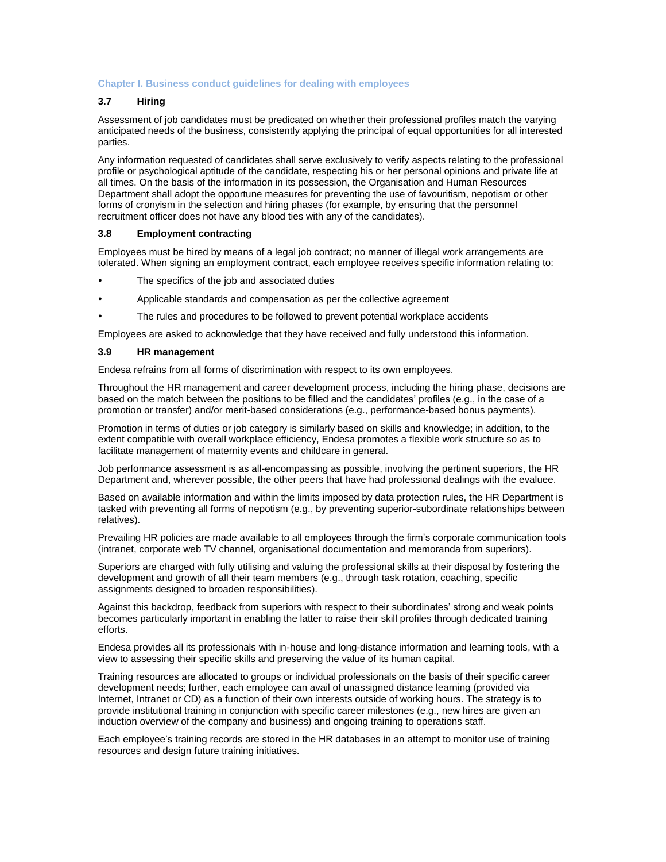#### **Chapter I. Business conduct guidelines for dealing with employees**

# **3.7 Hiring**

Assessment of job candidates must be predicated on whether their professional profiles match the varying anticipated needs of the business, consistently applying the principal of equal opportunities for all interested parties.

Any information requested of candidates shall serve exclusively to verify aspects relating to the professional profile or psychological aptitude of the candidate, respecting his or her personal opinions and private life at all times. On the basis of the information in its possession, the Organisation and Human Resources Department shall adopt the opportune measures for preventing the use of favouritism, nepotism or other forms of cronyism in the selection and hiring phases (for example, by ensuring that the personnel recruitment officer does not have any blood ties with any of the candidates).

#### **3.8 Employment contracting**

Employees must be hired by means of a legal job contract; no manner of illegal work arrangements are tolerated. When signing an employment contract, each employee receives specific information relating to:

- The specifics of the job and associated duties
- Applicable standards and compensation as per the collective agreement
- The rules and procedures to be followed to prevent potential workplace accidents

Employees are asked to acknowledge that they have received and fully understood this information.

#### **3.9 HR management**

Endesa refrains from all forms of discrimination with respect to its own employees.

Throughout the HR management and career development process, including the hiring phase, decisions are based on the match between the positions to be filled and the candidates' profiles (e.g., in the case of a promotion or transfer) and/or merit-based considerations (e.g., performance-based bonus payments).

Promotion in terms of duties or job category is similarly based on skills and knowledge; in addition, to the extent compatible with overall workplace efficiency, Endesa promotes a flexible work structure so as to facilitate management of maternity events and childcare in general.

Job performance assessment is as all-encompassing as possible, involving the pertinent superiors, the HR Department and, wherever possible, the other peers that have had professional dealings with the evaluee.

Based on available information and within the limits imposed by data protection rules, the HR Department is tasked with preventing all forms of nepotism (e.g., by preventing superior-subordinate relationships between relatives).

Prevailing HR policies are made available to all employees through the firm's corporate communication tools (intranet, corporate web TV channel, organisational documentation and memoranda from superiors).

Superiors are charged with fully utilising and valuing the professional skills at their disposal by fostering the development and growth of all their team members (e.g., through task rotation, coaching, specific assignments designed to broaden responsibilities).

Against this backdrop, feedback from superiors with respect to their subordinates' strong and weak points becomes particularly important in enabling the latter to raise their skill profiles through dedicated training efforts.

Endesa provides all its professionals with in-house and long-distance information and learning tools, with a view to assessing their specific skills and preserving the value of its human capital.

Training resources are allocated to groups or individual professionals on the basis of their specific career development needs; further, each employee can avail of unassigned distance learning (provided via Internet, Intranet or CD) as a function of their own interests outside of working hours. The strategy is to provide institutional training in conjunction with specific career milestones (e.g., new hires are given an induction overview of the company and business) and ongoing training to operations staff.

Each employee's training records are stored in the HR databases in an attempt to monitor use of training resources and design future training initiatives.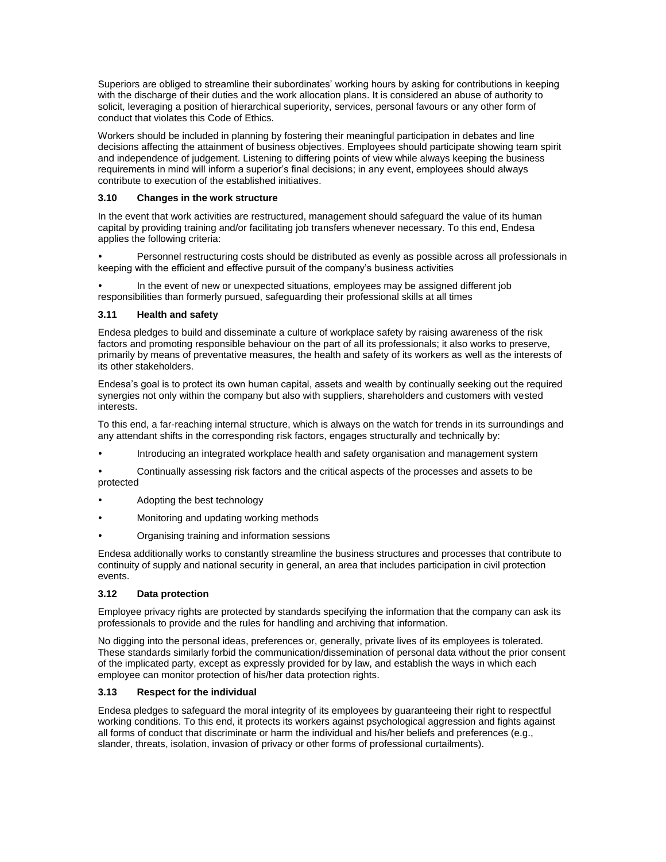Superiors are obliged to streamline their subordinates' working hours by asking for contributions in keeping with the discharge of their duties and the work allocation plans. It is considered an abuse of authority to solicit, leveraging a position of hierarchical superiority, services, personal favours or any other form of conduct that violates this Code of Ethics.

Workers should be included in planning by fostering their meaningful participation in debates and line decisions affecting the attainment of business objectives. Employees should participate showing team spirit and independence of judgement. Listening to differing points of view while always keeping the business requirements in mind will inform a superior's final decisions; in any event, employees should always contribute to execution of the established initiatives.

# **3.10 Changes in the work structure**

In the event that work activities are restructured, management should safeguard the value of its human capital by providing training and/or facilitating job transfers whenever necessary. To this end, Endesa applies the following criteria:

 Personnel restructuring costs should be distributed as evenly as possible across all professionals in keeping with the efficient and effective pursuit of the company's business activities

 In the event of new or unexpected situations, employees may be assigned different job responsibilities than formerly pursued, safeguarding their professional skills at all times

# **3.11 Health and safety**

Endesa pledges to build and disseminate a culture of workplace safety by raising awareness of the risk factors and promoting responsible behaviour on the part of all its professionals; it also works to preserve, primarily by means of preventative measures, the health and safety of its workers as well as the interests of its other stakeholders.

Endesa's goal is to protect its own human capital, assets and wealth by continually seeking out the required synergies not only within the company but also with suppliers, shareholders and customers with vested interests.

To this end, a far-reaching internal structure, which is always on the watch for trends in its surroundings and any attendant shifts in the corresponding risk factors, engages structurally and technically by:

Introducing an integrated workplace health and safety organisation and management system

 Continually assessing risk factors and the critical aspects of the processes and assets to be protected

- Adopting the best technology
- Monitoring and updating working methods
- Organising training and information sessions

Endesa additionally works to constantly streamline the business structures and processes that contribute to continuity of supply and national security in general, an area that includes participation in civil protection events.

#### **3.12 Data protection**

Employee privacy rights are protected by standards specifying the information that the company can ask its professionals to provide and the rules for handling and archiving that information.

No digging into the personal ideas, preferences or, generally, private lives of its employees is tolerated. These standards similarly forbid the communication/dissemination of personal data without the prior consent of the implicated party, except as expressly provided for by law, and establish the ways in which each employee can monitor protection of his/her data protection rights.

#### **3.13 Respect for the individual**

Endesa pledges to safeguard the moral integrity of its employees by guaranteeing their right to respectful working conditions. To this end, it protects its workers against psychological aggression and fights against all forms of conduct that discriminate or harm the individual and his/her beliefs and preferences (e.g., slander, threats, isolation, invasion of privacy or other forms of professional curtailments).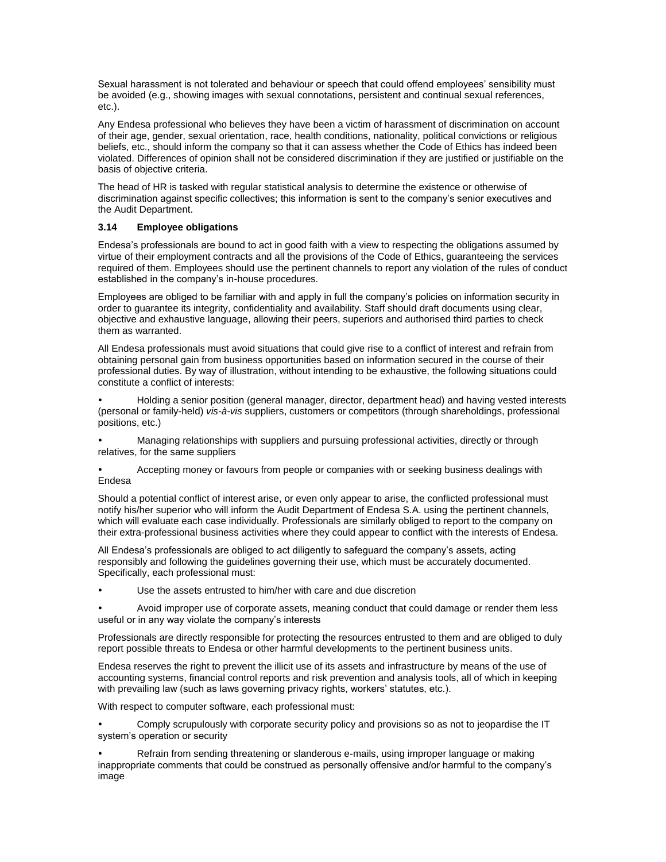Sexual harassment is not tolerated and behaviour or speech that could offend employees' sensibility must be avoided (e.g., showing images with sexual connotations, persistent and continual sexual references, etc.).

Any Endesa professional who believes they have been a victim of harassment of discrimination on account of their age, gender, sexual orientation, race, health conditions, nationality, political convictions or religious beliefs, etc., should inform the company so that it can assess whether the Code of Ethics has indeed been violated. Differences of opinion shall not be considered discrimination if they are justified or justifiable on the basis of objective criteria.

The head of HR is tasked with regular statistical analysis to determine the existence or otherwise of discrimination against specific collectives; this information is sent to the company's senior executives and the Audit Department.

# **3.14 Employee obligations**

Endesa's professionals are bound to act in good faith with a view to respecting the obligations assumed by virtue of their employment contracts and all the provisions of the Code of Ethics, guaranteeing the services required of them. Employees should use the pertinent channels to report any violation of the rules of conduct established in the company's in-house procedures.

Employees are obliged to be familiar with and apply in full the company's policies on information security in order to guarantee its integrity, confidentiality and availability. Staff should draft documents using clear, objective and exhaustive language, allowing their peers, superiors and authorised third parties to check them as warranted.

All Endesa professionals must avoid situations that could give rise to a conflict of interest and refrain from obtaining personal gain from business opportunities based on information secured in the course of their professional duties. By way of illustration, without intending to be exhaustive, the following situations could constitute a conflict of interests:

 Holding a senior position (general manager, director, department head) and having vested interests (personal or family-held) *vis-à-vis* suppliers, customers or competitors (through shareholdings, professional positions, etc.)

 Managing relationships with suppliers and pursuing professional activities, directly or through relatives, for the same suppliers

 Accepting money or favours from people or companies with or seeking business dealings with Endesa

Should a potential conflict of interest arise, or even only appear to arise, the conflicted professional must notify his/her superior who will inform the Audit Department of Endesa S.A. using the pertinent channels, which will evaluate each case individually. Professionals are similarly obliged to report to the company on their extra-professional business activities where they could appear to conflict with the interests of Endesa.

All Endesa's professionals are obliged to act diligently to safeguard the company's assets, acting responsibly and following the guidelines governing their use, which must be accurately documented. Specifically, each professional must:

Use the assets entrusted to him/her with care and due discretion

 Avoid improper use of corporate assets, meaning conduct that could damage or render them less useful or in any way violate the company's interests

Professionals are directly responsible for protecting the resources entrusted to them and are obliged to duly report possible threats to Endesa or other harmful developments to the pertinent business units.

Endesa reserves the right to prevent the illicit use of its assets and infrastructure by means of the use of accounting systems, financial control reports and risk prevention and analysis tools, all of which in keeping with prevailing law (such as laws governing privacy rights, workers' statutes, etc.).

With respect to computer software, each professional must:

 Comply scrupulously with corporate security policy and provisions so as not to jeopardise the IT system's operation or security

 Refrain from sending threatening or slanderous e-mails, using improper language or making inappropriate comments that could be construed as personally offensive and/or harmful to the company's image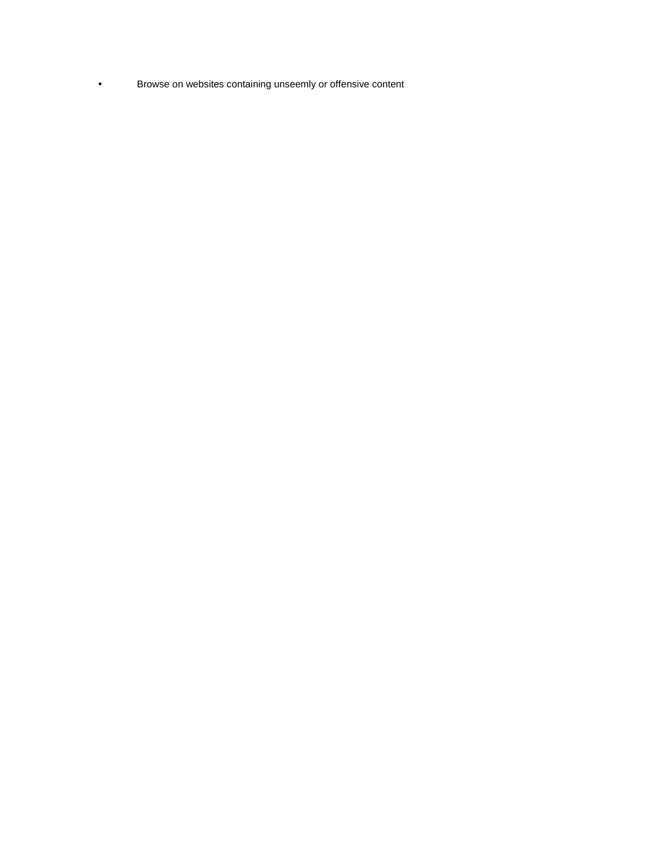Browse on websites containing unseemly or offensive content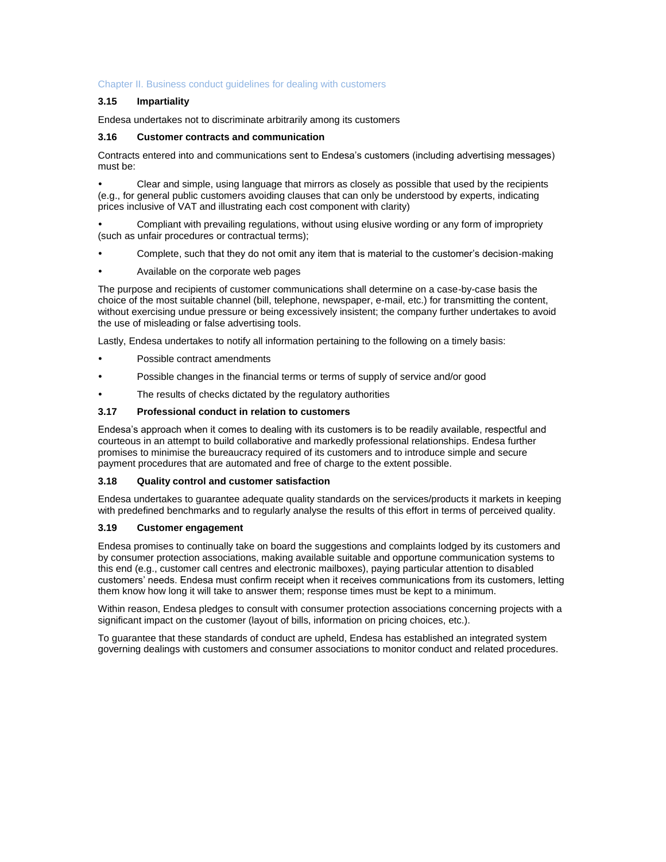# Chapter II. Business conduct guidelines for dealing with customers

# **3.15 Impartiality**

Endesa undertakes not to discriminate arbitrarily among its customers

#### **3.16 Customer contracts and communication**

Contracts entered into and communications sent to Endesa's customers (including advertising messages) must be:

 Clear and simple, using language that mirrors as closely as possible that used by the recipients (e.g., for general public customers avoiding clauses that can only be understood by experts, indicating prices inclusive of VAT and illustrating each cost component with clarity)

 Compliant with prevailing regulations, without using elusive wording or any form of impropriety (such as unfair procedures or contractual terms);

- Complete, such that they do not omit any item that is material to the customer's decision-making
- Available on the corporate web pages

The purpose and recipients of customer communications shall determine on a case-by-case basis the choice of the most suitable channel (bill, telephone, newspaper, e-mail, etc.) for transmitting the content, without exercising undue pressure or being excessively insistent; the company further undertakes to avoid the use of misleading or false advertising tools.

Lastly, Endesa undertakes to notify all information pertaining to the following on a timely basis:

- Possible contract amendments
- Possible changes in the financial terms or terms of supply of service and/or good
- The results of checks dictated by the regulatory authorities

#### **3.17 Professional conduct in relation to customers**

Endesa's approach when it comes to dealing with its customers is to be readily available, respectful and courteous in an attempt to build collaborative and markedly professional relationships. Endesa further promises to minimise the bureaucracy required of its customers and to introduce simple and secure payment procedures that are automated and free of charge to the extent possible.

#### **3.18 Quality control and customer satisfaction**

Endesa undertakes to guarantee adequate quality standards on the services/products it markets in keeping with predefined benchmarks and to regularly analyse the results of this effort in terms of perceived quality.

#### **3.19 Customer engagement**

Endesa promises to continually take on board the suggestions and complaints lodged by its customers and by consumer protection associations, making available suitable and opportune communication systems to this end (e.g., customer call centres and electronic mailboxes), paying particular attention to disabled customers' needs. Endesa must confirm receipt when it receives communications from its customers, letting them know how long it will take to answer them; response times must be kept to a minimum.

Within reason, Endesa pledges to consult with consumer protection associations concerning projects with a significant impact on the customer (layout of bills, information on pricing choices, etc.).

To guarantee that these standards of conduct are upheld, Endesa has established an integrated system governing dealings with customers and consumer associations to monitor conduct and related procedures.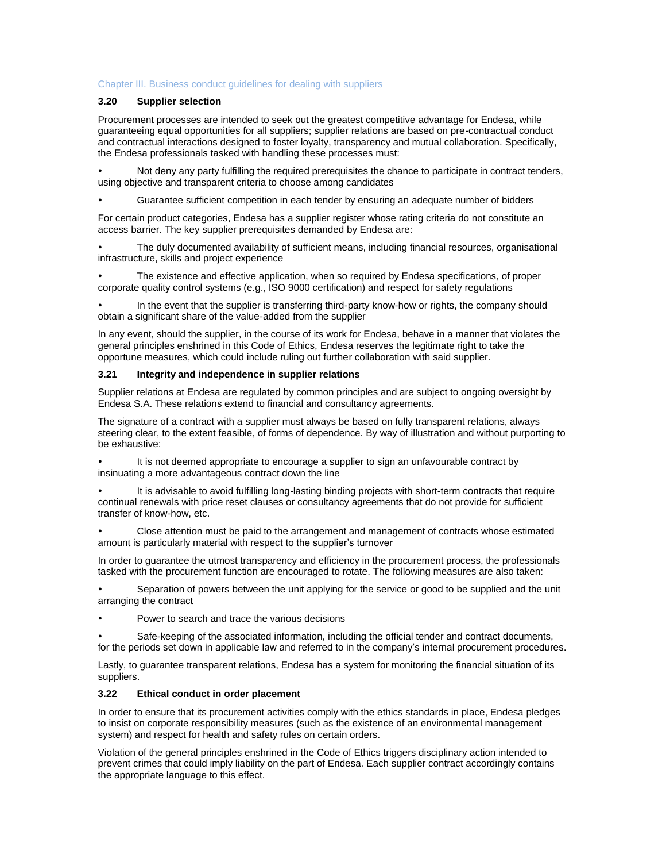#### Chapter III. Business conduct guidelines for dealing with suppliers

# **3.20 Supplier selection**

Procurement processes are intended to seek out the greatest competitive advantage for Endesa, while guaranteeing equal opportunities for all suppliers; supplier relations are based on pre-contractual conduct and contractual interactions designed to foster loyalty, transparency and mutual collaboration. Specifically, the Endesa professionals tasked with handling these processes must:

 Not deny any party fulfilling the required prerequisites the chance to participate in contract tenders, using objective and transparent criteria to choose among candidates

Guarantee sufficient competition in each tender by ensuring an adequate number of bidders

For certain product categories, Endesa has a supplier register whose rating criteria do not constitute an access barrier. The key supplier prerequisites demanded by Endesa are:

 The duly documented availability of sufficient means, including financial resources, organisational infrastructure, skills and project experience

 The existence and effective application, when so required by Endesa specifications, of proper corporate quality control systems (e.g., ISO 9000 certification) and respect for safety regulations

 In the event that the supplier is transferring third-party know-how or rights, the company should obtain a significant share of the value-added from the supplier

In any event, should the supplier, in the course of its work for Endesa, behave in a manner that violates the general principles enshrined in this Code of Ethics, Endesa reserves the legitimate right to take the opportune measures, which could include ruling out further collaboration with said supplier.

# **3.21 Integrity and independence in supplier relations**

Supplier relations at Endesa are regulated by common principles and are subject to ongoing oversight by Endesa S.A. These relations extend to financial and consultancy agreements.

The signature of a contract with a supplier must always be based on fully transparent relations, always steering clear, to the extent feasible, of forms of dependence. By way of illustration and without purporting to be exhaustive:

 It is not deemed appropriate to encourage a supplier to sign an unfavourable contract by insinuating a more advantageous contract down the line

 It is advisable to avoid fulfilling long-lasting binding projects with short-term contracts that require continual renewals with price reset clauses or consultancy agreements that do not provide for sufficient transfer of know-how, etc.

 Close attention must be paid to the arrangement and management of contracts whose estimated amount is particularly material with respect to the supplier's turnover

In order to guarantee the utmost transparency and efficiency in the procurement process, the professionals tasked with the procurement function are encouraged to rotate. The following measures are also taken:

 Separation of powers between the unit applying for the service or good to be supplied and the unit arranging the contract

Power to search and trace the various decisions

 Safe-keeping of the associated information, including the official tender and contract documents, for the periods set down in applicable law and referred to in the company's internal procurement procedures.

Lastly, to guarantee transparent relations, Endesa has a system for monitoring the financial situation of its suppliers.

# **3.22 Ethical conduct in order placement**

In order to ensure that its procurement activities comply with the ethics standards in place, Endesa pledges to insist on corporate responsibility measures (such as the existence of an environmental management system) and respect for health and safety rules on certain orders.

Violation of the general principles enshrined in the Code of Ethics triggers disciplinary action intended to prevent crimes that could imply liability on the part of Endesa. Each supplier contract accordingly contains the appropriate language to this effect.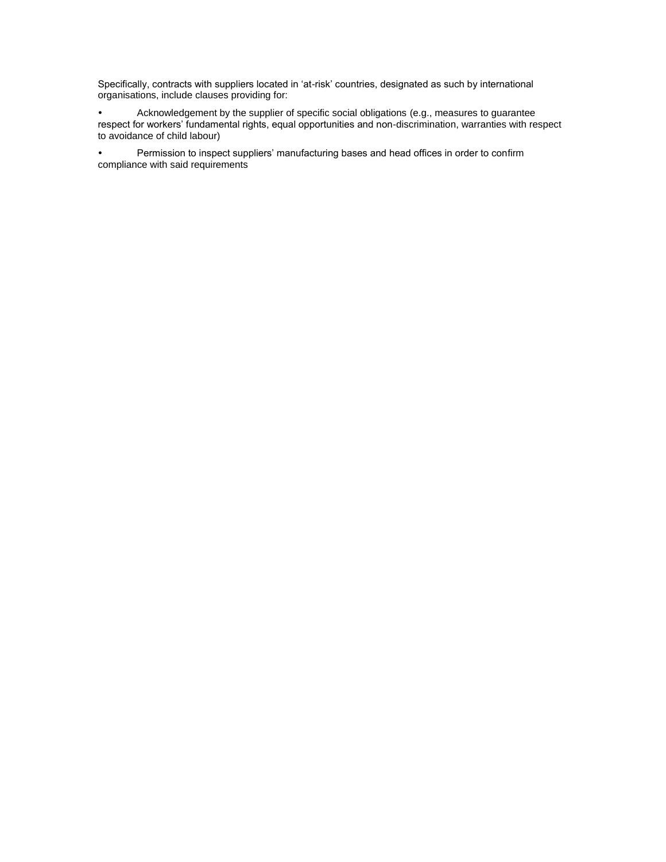Specifically, contracts with suppliers located in 'at-risk' countries, designated as such by international organisations, include clauses providing for:

 Acknowledgement by the supplier of specific social obligations (e.g., measures to guarantee respect for workers' fundamental rights, equal opportunities and non-discrimination, warranties with respect to avoidance of child labour)

 Permission to inspect suppliers' manufacturing bases and head offices in order to confirm compliance with said requirements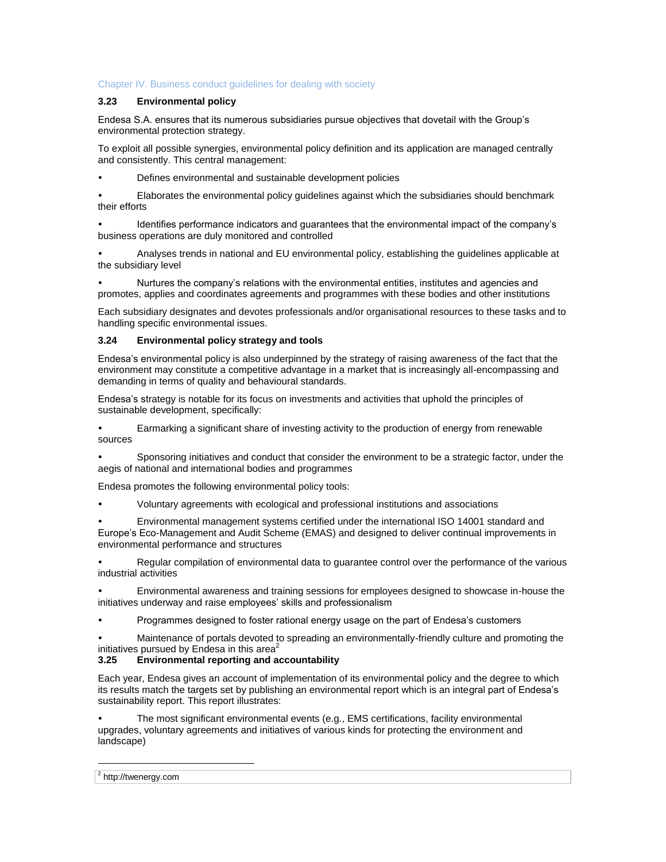# Chapter IV. Business conduct guidelines for dealing with society

# **3.23 Environmental policy**

Endesa S.A. ensures that its numerous subsidiaries pursue objectives that dovetail with the Group's environmental protection strategy.

To exploit all possible synergies, environmental policy definition and its application are managed centrally and consistently. This central management:

Defines environmental and sustainable development policies

 Elaborates the environmental policy guidelines against which the subsidiaries should benchmark their efforts

 Identifies performance indicators and guarantees that the environmental impact of the company's business operations are duly monitored and controlled

 Analyses trends in national and EU environmental policy, establishing the guidelines applicable at the subsidiary level

 Nurtures the company's relations with the environmental entities, institutes and agencies and promotes, applies and coordinates agreements and programmes with these bodies and other institutions

Each subsidiary designates and devotes professionals and/or organisational resources to these tasks and to handling specific environmental issues.

#### **3.24 Environmental policy strategy and tools**

Endesa's environmental policy is also underpinned by the strategy of raising awareness of the fact that the environment may constitute a competitive advantage in a market that is increasingly all-encompassing and demanding in terms of quality and behavioural standards.

Endesa's strategy is notable for its focus on investments and activities that uphold the principles of sustainable development, specifically:

 Earmarking a significant share of investing activity to the production of energy from renewable sources

 Sponsoring initiatives and conduct that consider the environment to be a strategic factor, under the aegis of national and international bodies and programmes

Endesa promotes the following environmental policy tools:

Voluntary agreements with ecological and professional institutions and associations

 Environmental management systems certified under the international ISO 14001 standard and Europe's Eco-Management and Audit Scheme (EMAS) and designed to deliver continual improvements in environmental performance and structures

 Regular compilation of environmental data to guarantee control over the performance of the various industrial activities

 Environmental awareness and training sessions for employees designed to showcase in-house the initiatives underway and raise employees' skills and professionalism

Programmes designed to foster rational energy usage on the part of Endesa's customers

 Maintenance of portals devoted to spreading an environmentally-friendly culture and promoting the initiatives pursued by Endesa in this area $2$ 

#### **3.25 Environmental reporting and accountability**

Each year, Endesa gives an account of implementation of its environmental policy and the degree to which its results match the targets set by publishing an environmental report which is an integral part of Endesa's sustainability report. This report illustrates:

 The most significant environmental events (e.g., EMS certifications, facility environmental upgrades, voluntary agreements and initiatives of various kinds for protecting the environment and landscape)

 $\overline{a}$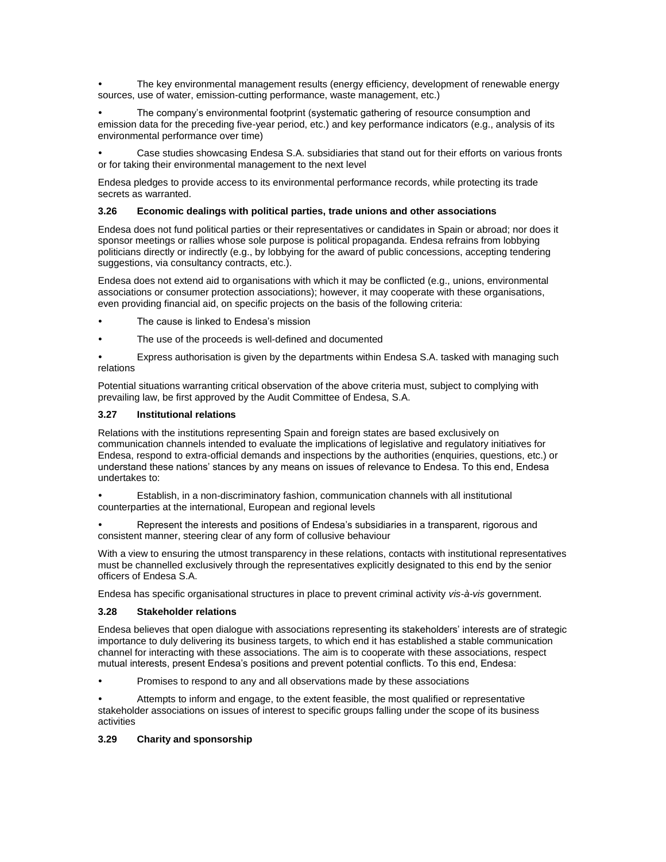The key environmental management results (energy efficiency, development of renewable energy sources, use of water, emission-cutting performance, waste management, etc.)

 The company's environmental footprint (systematic gathering of resource consumption and emission data for the preceding five-year period, etc.) and key performance indicators (e.g., analysis of its environmental performance over time)

 Case studies showcasing Endesa S.A. subsidiaries that stand out for their efforts on various fronts or for taking their environmental management to the next level

Endesa pledges to provide access to its environmental performance records, while protecting its trade secrets as warranted.

#### **3.26 Economic dealings with political parties, trade unions and other associations**

Endesa does not fund political parties or their representatives or candidates in Spain or abroad; nor does it sponsor meetings or rallies whose sole purpose is political propaganda. Endesa refrains from lobbying politicians directly or indirectly (e.g., by lobbying for the award of public concessions, accepting tendering suggestions, via consultancy contracts, etc.).

Endesa does not extend aid to organisations with which it may be conflicted (e.g., unions, environmental associations or consumer protection associations); however, it may cooperate with these organisations, even providing financial aid, on specific projects on the basis of the following criteria:

- The cause is linked to Endesa's mission
- The use of the proceeds is well-defined and documented

 Express authorisation is given by the departments within Endesa S.A. tasked with managing such relations

Potential situations warranting critical observation of the above criteria must, subject to complying with prevailing law, be first approved by the Audit Committee of Endesa, S.A.

#### **3.27 Institutional relations**

Relations with the institutions representing Spain and foreign states are based exclusively on communication channels intended to evaluate the implications of legislative and regulatory initiatives for Endesa, respond to extra-official demands and inspections by the authorities (enquiries, questions, etc.) or understand these nations' stances by any means on issues of relevance to Endesa. To this end, Endesa undertakes to:

 Establish, in a non-discriminatory fashion, communication channels with all institutional counterparties at the international, European and regional levels

 Represent the interests and positions of Endesa's subsidiaries in a transparent, rigorous and consistent manner, steering clear of any form of collusive behaviour

With a view to ensuring the utmost transparency in these relations, contacts with institutional representatives must be channelled exclusively through the representatives explicitly designated to this end by the senior officers of Endesa S.A.

Endesa has specific organisational structures in place to prevent criminal activity *vis-à-vis* government.

#### **3.28 Stakeholder relations**

Endesa believes that open dialogue with associations representing its stakeholders' interests are of strategic importance to duly delivering its business targets, to which end it has established a stable communication channel for interacting with these associations. The aim is to cooperate with these associations, respect mutual interests, present Endesa's positions and prevent potential conflicts. To this end, Endesa:

Promises to respond to any and all observations made by these associations

 Attempts to inform and engage, to the extent feasible, the most qualified or representative stakeholder associations on issues of interest to specific groups falling under the scope of its business activities

#### **3.29 Charity and sponsorship**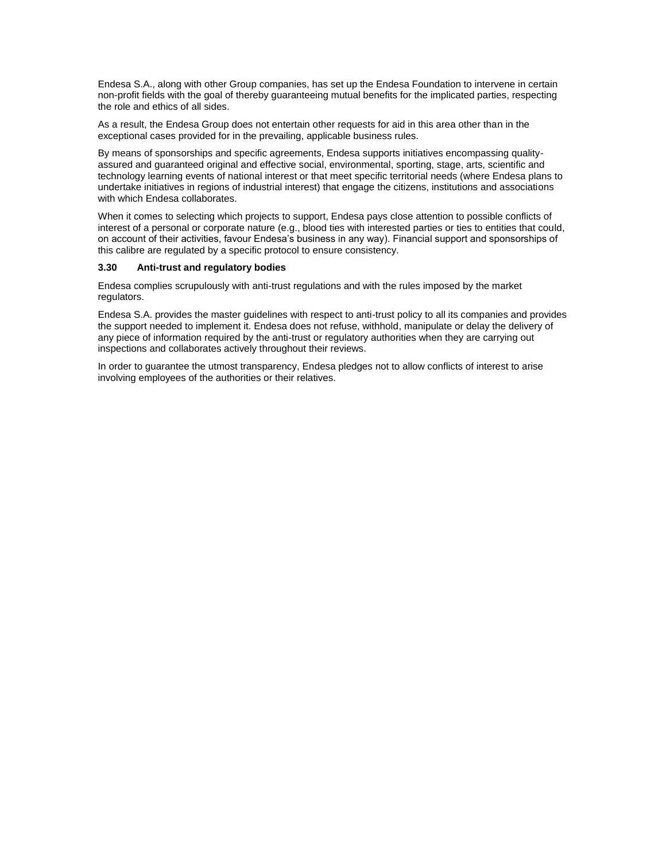Endesa S.A., along with other Group companies, has set up the Endesa Foundation to intervene in certain non-profit fields with the goal of thereby guaranteeing mutual benefits for the implicated parties, respecting the role and ethics of all sides.

As a result, the Endesa Group does not entertain other requests for aid in this area other than in the exceptional cases provided for in the prevailing, applicable business rules.

By means of sponsorships and specific agreements, Endesa supports initiatives encompassing qualityassured and guaranteed original and effective social, environmental, sporting, stage, arts, scientific and technology learning events of national interest or that meet specific territorial needs (where Endesa plans to undertake initiatives in regions of industrial interest) that engage the citizens, institutions and associations with which Endesa collaborates.

When it comes to selecting which projects to support, Endesa pays close attention to possible conflicts of interest of a personal or corporate nature (e.g., blood ties with interested parties or ties to entities that could, on account of their activities, favour Endesa's business in any way). Financial support and sponsorships of this calibre are regulated by a specific protocol to ensure consistency.

#### **3.30 Anti-trust and regulatory bodies**

Endesa complies scrupulously with anti-trust regulations and with the rules imposed by the market regulators.

Endesa S.A. provides the master guidelines with respect to anti-trust policy to all its companies and provides the support needed to implement it. Endesa does not refuse, withhold, manipulate or delay the delivery of any piece of information required by the anti-trust or regulatory authorities when they are carrying out inspections and collaborates actively throughout their reviews.

In order to guarantee the utmost transparency, Endesa pledges not to allow conflicts of interest to arise involving employees of the authorities or their relatives.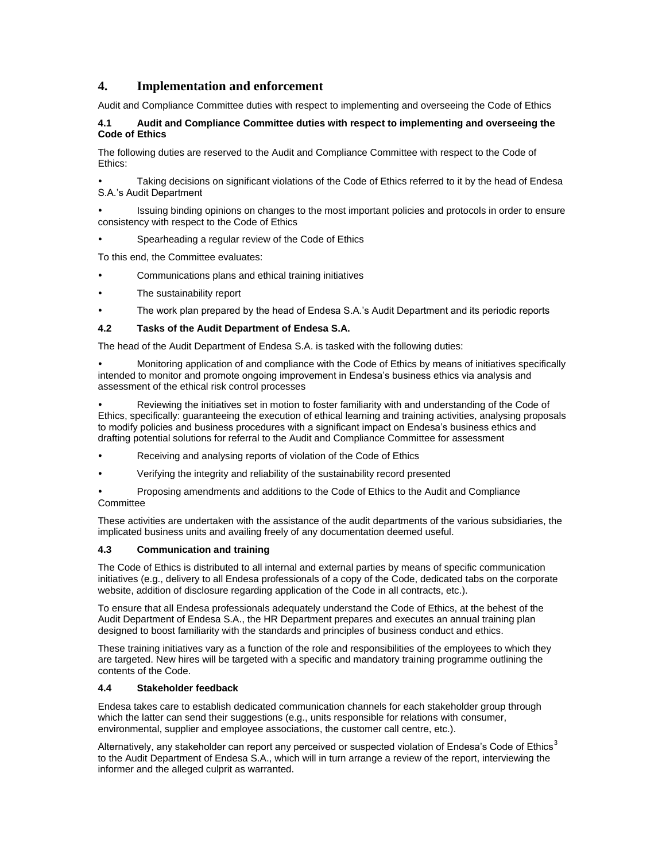# **4. Implementation and enforcement**

Audit and Compliance Committee duties with respect to implementing and overseeing the Code of Ethics

# **4.1 Audit and Compliance Committee duties with respect to implementing and overseeing the Code of Ethics**

The following duties are reserved to the Audit and Compliance Committee with respect to the Code of Ethics:

 Taking decisions on significant violations of the Code of Ethics referred to it by the head of Endesa S.A.'s Audit Department

 Issuing binding opinions on changes to the most important policies and protocols in order to ensure consistency with respect to the Code of Ethics

Spearheading a regular review of the Code of Ethics

To this end, the Committee evaluates:

- Communications plans and ethical training initiatives
- The sustainability report
- The work plan prepared by the head of Endesa S.A.'s Audit Department and its periodic reports

#### **4.2 Tasks of the Audit Department of Endesa S.A.**

The head of the Audit Department of Endesa S.A. is tasked with the following duties:

 Monitoring application of and compliance with the Code of Ethics by means of initiatives specifically intended to monitor and promote ongoing improvement in Endesa's business ethics via analysis and assessment of the ethical risk control processes

 Reviewing the initiatives set in motion to foster familiarity with and understanding of the Code of Ethics, specifically: guaranteeing the execution of ethical learning and training activities, analysing proposals to modify policies and business procedures with a significant impact on Endesa's business ethics and drafting potential solutions for referral to the Audit and Compliance Committee for assessment

- Receiving and analysing reports of violation of the Code of Ethics
- Verifying the integrity and reliability of the sustainability record presented

 Proposing amendments and additions to the Code of Ethics to the Audit and Compliance **Committee** 

These activities are undertaken with the assistance of the audit departments of the various subsidiaries, the implicated business units and availing freely of any documentation deemed useful.

#### **4.3 Communication and training**

The Code of Ethics is distributed to all internal and external parties by means of specific communication initiatives (e.g., delivery to all Endesa professionals of a copy of the Code, dedicated tabs on the corporate website, addition of disclosure regarding application of the Code in all contracts, etc.).

To ensure that all Endesa professionals adequately understand the Code of Ethics, at the behest of the Audit Department of Endesa S.A., the HR Department prepares and executes an annual training plan designed to boost familiarity with the standards and principles of business conduct and ethics.

These training initiatives vary as a function of the role and responsibilities of the employees to which they are targeted. New hires will be targeted with a specific and mandatory training programme outlining the contents of the Code.

#### **4.4 Stakeholder feedback**

Endesa takes care to establish dedicated communication channels for each stakeholder group through which the latter can send their suggestions (e.g., units responsible for relations with consumer, environmental, supplier and employee associations, the customer call centre, etc.).

Alternatively, any stakeholder can report any perceived or suspected violation of Endesa's Code of Ethics<sup>3</sup> to the Audit Department of Endesa S.A., which will in turn arrange a review of the report, interviewing the informer and the alleged culprit as warranted.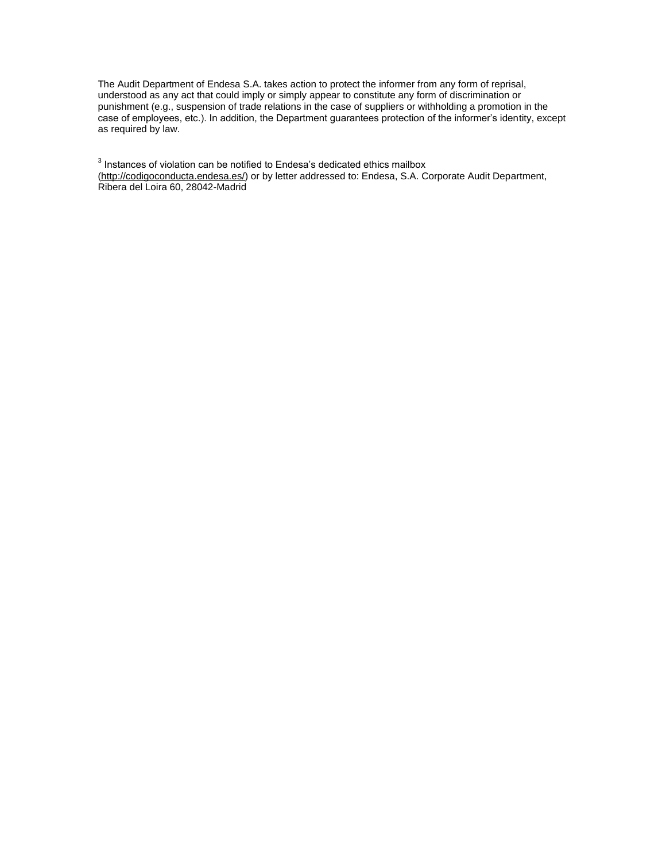The Audit Department of Endesa S.A. takes action to protect the informer from any form of reprisal, understood as any act that could imply or simply appear to constitute any form of discrimination or punishment (e.g., suspension of trade relations in the case of suppliers or withholding a promotion in the case of employees, etc.). In addition, the Department guarantees protection of the informer's identity, except as required by law.

 $3$  Instances of violation can be notified to Endesa's dedicated ethics mailbox [\(http://codigoconducta.endesa.es/\)](http://codigoconducta.endesa.es/) or by letter addressed to: Endesa, S.A. Corporate Audit Department, Ribera del Loira 60, 28042-Madrid